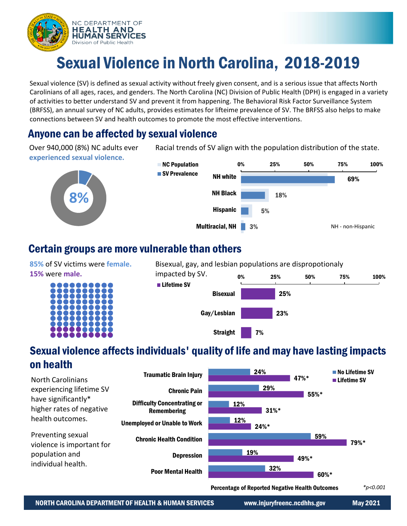

# Sexual Violence in North Carolina, 2018-2019

Sexual violence (SV) is defined as sexual activity without freely given consent, and is a serious issue that affects North Carolinians of all ages, races, and genders. The North Carolina (NC) Division of Public Health (DPH) is engaged in a variety of activities to better understand SV and prevent it from happening. The Behavioral Risk Factor Surveillance System (BRFSS), an annual survey of NC adults, provides estimates for lifteime prevalence of SV. The BRFSS also helps to make connections between SV and health outcomes to promote the most effective interventions.

### Anyone can be affected by sexual violence

Over 940,000 (8%) NC adults ever **experienced sexual violence.**





Racial trends of SV align with the population distribution of the state.

### Certain groups are more vulnerable than others

**85%** of SV victims were **female. 15%** were **male.**





## Sexual violence affects individuals' quality of life and may have lasting impacts on health



Percentage of Reported Negative Health Outcomes

*\*p<0.001*